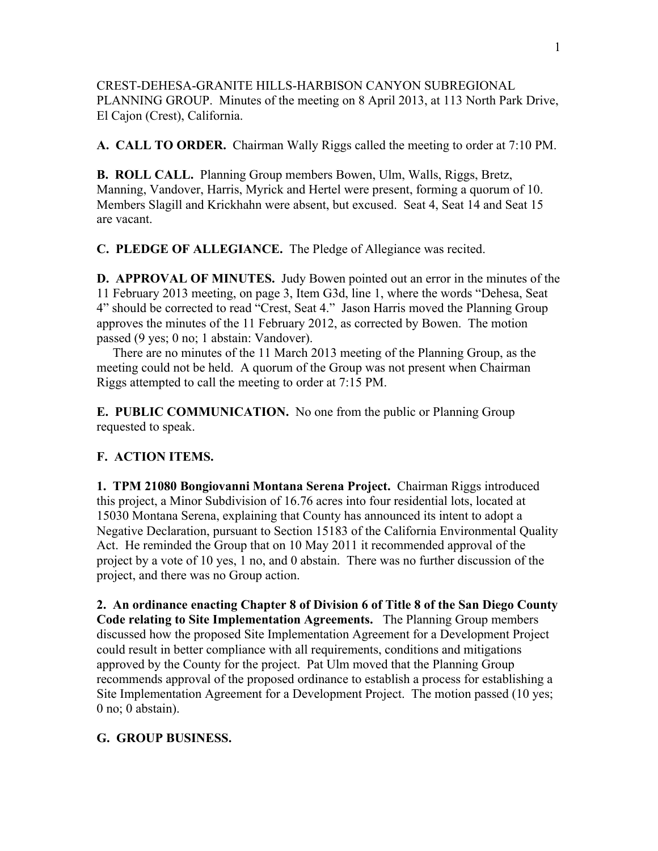CREST-DEHESA-GRANITE HILLS-HARBISON CANYON SUBREGIONAL PLANNING GROUP. Minutes of the meeting on 8 April 2013, at 113 North Park Drive, El Cajon (Crest), California.

**A. CALL TO ORDER.** Chairman Wally Riggs called the meeting to order at 7:10 PM.

**B. ROLL CALL.** Planning Group members Bowen, Ulm, Walls, Riggs, Bretz, Manning, Vandover, Harris, Myrick and Hertel were present, forming a quorum of 10. Members Slagill and Krickhahn were absent, but excused. Seat 4, Seat 14 and Seat 15 are vacant.

**C. PLEDGE OF ALLEGIANCE.** The Pledge of Allegiance was recited.

**D. APPROVAL OF MINUTES.** Judy Bowen pointed out an error in the minutes of the 11 February 2013 meeting, on page 3, Item G3d, line 1, where the words "Dehesa, Seat 4" should be corrected to read "Crest, Seat 4." Jason Harris moved the Planning Group approves the minutes of the 11 February 2012, as corrected by Bowen. The motion passed (9 yes; 0 no; 1 abstain: Vandover).

 There are no minutes of the 11 March 2013 meeting of the Planning Group, as the meeting could not be held. A quorum of the Group was not present when Chairman Riggs attempted to call the meeting to order at 7:15 PM.

**E. PUBLIC COMMUNICATION.** No one from the public or Planning Group requested to speak.

## **F. ACTION ITEMS.**

**1. TPM 21080 Bongiovanni Montana Serena Project.** Chairman Riggs introduced this project, a Minor Subdivision of 16.76 acres into four residential lots, located at 15030 Montana Serena, explaining that County has announced its intent to adopt a Negative Declaration, pursuant to Section 15183 of the California Environmental Quality Act. He reminded the Group that on 10 May 2011 it recommended approval of the project by a vote of 10 yes, 1 no, and 0 abstain. There was no further discussion of the project, and there was no Group action.

**2. An ordinance enacting Chapter 8 of Division 6 of Title 8 of the San Diego County Code relating to Site Implementation Agreements.** The Planning Group members discussed how the proposed Site Implementation Agreement for a Development Project could result in better compliance with all requirements, conditions and mitigations approved by the County for the project. Pat Ulm moved that the Planning Group recommends approval of the proposed ordinance to establish a process for establishing a Site Implementation Agreement for a Development Project. The motion passed (10 yes; 0 no; 0 abstain).

## **G. GROUP BUSINESS.**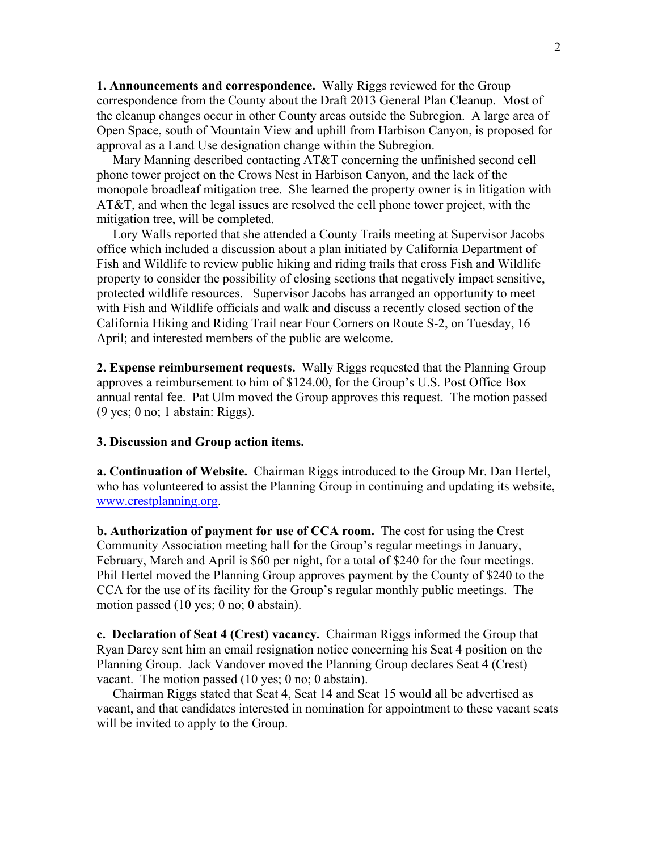**1. Announcements and correspondence.** Wally Riggs reviewed for the Group correspondence from the County about the Draft 2013 General Plan Cleanup. Most of the cleanup changes occur in other County areas outside the Subregion. A large area of Open Space, south of Mountain View and uphill from Harbison Canyon, is proposed for approval as a Land Use designation change within the Subregion.

Mary Manning described contacting AT&T concerning the unfinished second cell phone tower project on the Crows Nest in Harbison Canyon, and the lack of the monopole broadleaf mitigation tree. She learned the property owner is in litigation with AT&T, and when the legal issues are resolved the cell phone tower project, with the mitigation tree, will be completed.

 Lory Walls reported that she attended a County Trails meeting at Supervisor Jacobs office which included a discussion about a plan initiated by California Department of Fish and Wildlife to review public hiking and riding trails that cross Fish and Wildlife property to consider the possibility of closing sections that negatively impact sensitive, protected wildlife resources. Supervisor Jacobs has arranged an opportunity to meet with Fish and Wildlife officials and walk and discuss a recently closed section of the California Hiking and Riding Trail near Four Corners on Route S-2, on Tuesday, 16 April; and interested members of the public are welcome.

**2. Expense reimbursement requests.** Wally Riggs requested that the Planning Group approves a reimbursement to him of \$124.00, for the Group's U.S. Post Office Box annual rental fee. Pat Ulm moved the Group approves this request. The motion passed (9 yes; 0 no; 1 abstain: Riggs).

## **3. Discussion and Group action items.**

**a. Continuation of Website.** Chairman Riggs introduced to the Group Mr. Dan Hertel, who has volunteered to assist the Planning Group in continuing and updating its website, www.crestplanning.org.

**b. Authorization of payment for use of CCA room.** The cost for using the Crest Community Association meeting hall for the Group's regular meetings in January, February, March and April is \$60 per night, for a total of \$240 for the four meetings. Phil Hertel moved the Planning Group approves payment by the County of \$240 to the CCA for the use of its facility for the Group's regular monthly public meetings. The motion passed (10 yes; 0 no; 0 abstain).

**c. Declaration of Seat 4 (Crest) vacancy.** Chairman Riggs informed the Group that Ryan Darcy sent him an email resignation notice concerning his Seat 4 position on the Planning Group. Jack Vandover moved the Planning Group declares Seat 4 (Crest) vacant. The motion passed (10 yes; 0 no; 0 abstain).

 Chairman Riggs stated that Seat 4, Seat 14 and Seat 15 would all be advertised as vacant, and that candidates interested in nomination for appointment to these vacant seats will be invited to apply to the Group.